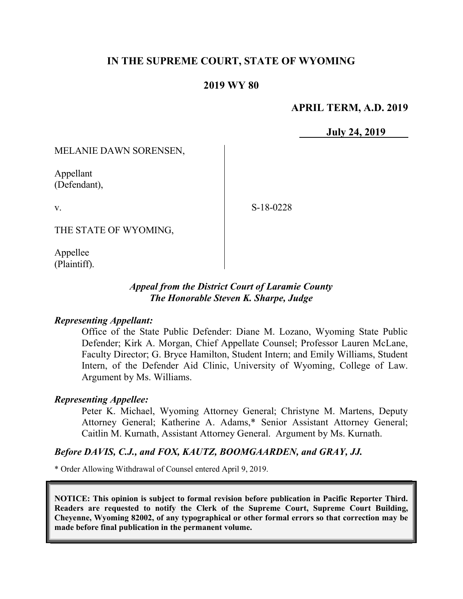# IN THE SUPREME COURT, STATE OF WYOMING

### 2019 WY 80

#### APRIL TERM, A.D. 2019

July 24, 2019

MELANIE DAWN SORENSEN,

Appellant (Defendant),

v.

S-18-0228

THE STATE OF WYOMING,

Appellee (Plaintiff).

### Appeal from the District Court of Laramie County The Honorable Steven K. Sharpe, Judge

#### Representing Appellant:

Office of the State Public Defender: Diane M. Lozano, Wyoming State Public Defender; Kirk A. Morgan, Chief Appellate Counsel; Professor Lauren McLane, Faculty Director; G. Bryce Hamilton, Student Intern; and Emily Williams, Student Intern, of the Defender Aid Clinic, University of Wyoming, College of Law. Argument by Ms. Williams.

#### Representing Appellee:

Peter K. Michael, Wyoming Attorney General; Christyne M. Martens, Deputy Attorney General; Katherine A. Adams,\* Senior Assistant Attorney General; Caitlin M. Kurnath, Assistant Attorney General. Argument by Ms. Kurnath.

#### Before DAVIS, C.J., and FOX, KAUTZ, BOOMGAARDEN, and GRAY, JJ.

\* Order Allowing Withdrawal of Counsel entered April 9, 2019.

NOTICE: This opinion is subject to formal revision before publication in Pacific Reporter Third. Readers are requested to notify the Clerk of the Supreme Court, Supreme Court Building, Cheyenne, Wyoming 82002, of any typographical or other formal errors so that correction may be made before final publication in the permanent volume.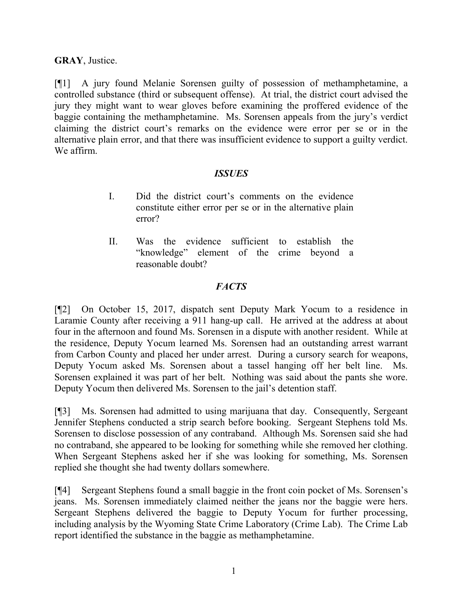## GRAY, Justice.

[¶1] A jury found Melanie Sorensen guilty of possession of methamphetamine, a controlled substance (third or subsequent offense). At trial, the district court advised the jury they might want to wear gloves before examining the proffered evidence of the baggie containing the methamphetamine. Ms. Sorensen appeals from the jury's verdict claiming the district court's remarks on the evidence were error per se or in the alternative plain error, and that there was insufficient evidence to support a guilty verdict. We affirm.

#### ISSUES

- I. Did the district court's comments on the evidence constitute either error per se or in the alternative plain error?
- II. Was the evidence sufficient to establish the "knowledge" element of the crime beyond a reasonable doubt?

## **FACTS**

[¶2] On October 15, 2017, dispatch sent Deputy Mark Yocum to a residence in Laramie County after receiving a 911 hang-up call. He arrived at the address at about four in the afternoon and found Ms. Sorensen in a dispute with another resident. While at the residence, Deputy Yocum learned Ms. Sorensen had an outstanding arrest warrant from Carbon County and placed her under arrest. During a cursory search for weapons, Deputy Yocum asked Ms. Sorensen about a tassel hanging off her belt line. Ms. Sorensen explained it was part of her belt. Nothing was said about the pants she wore. Deputy Yocum then delivered Ms. Sorensen to the jail's detention staff.

[¶3] Ms. Sorensen had admitted to using marijuana that day. Consequently, Sergeant Jennifer Stephens conducted a strip search before booking. Sergeant Stephens told Ms. Sorensen to disclose possession of any contraband. Although Ms. Sorensen said she had no contraband, she appeared to be looking for something while she removed her clothing. When Sergeant Stephens asked her if she was looking for something, Ms. Sorensen replied she thought she had twenty dollars somewhere.

[¶4] Sergeant Stephens found a small baggie in the front coin pocket of Ms. Sorensen's jeans. Ms. Sorensen immediately claimed neither the jeans nor the baggie were hers. Sergeant Stephens delivered the baggie to Deputy Yocum for further processing, including analysis by the Wyoming State Crime Laboratory (Crime Lab). The Crime Lab report identified the substance in the baggie as methamphetamine.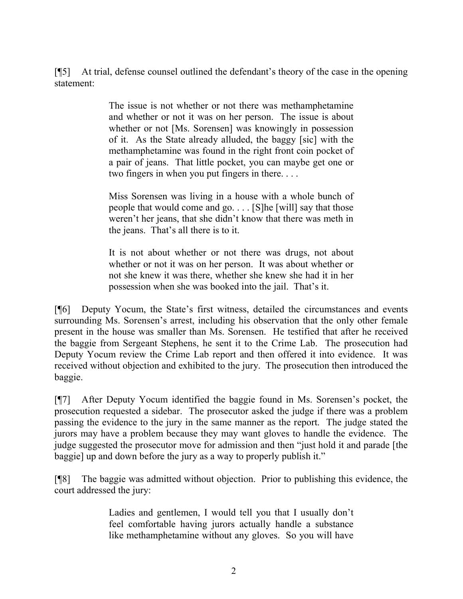[¶5] At trial, defense counsel outlined the defendant's theory of the case in the opening statement:

> The issue is not whether or not there was methamphetamine and whether or not it was on her person. The issue is about whether or not [Ms. Sorensen] was knowingly in possession of it. As the State already alluded, the baggy [sic] with the methamphetamine was found in the right front coin pocket of a pair of jeans. That little pocket, you can maybe get one or two fingers in when you put fingers in there. . . .

> Miss Sorensen was living in a house with a whole bunch of people that would come and go. . . . [S]he [will] say that those weren't her jeans, that she didn't know that there was meth in the jeans. That's all there is to it.

> It is not about whether or not there was drugs, not about whether or not it was on her person. It was about whether or not she knew it was there, whether she knew she had it in her possession when she was booked into the jail. That's it.

[¶6] Deputy Yocum, the State's first witness, detailed the circumstances and events surrounding Ms. Sorensen's arrest, including his observation that the only other female present in the house was smaller than Ms. Sorensen. He testified that after he received the baggie from Sergeant Stephens, he sent it to the Crime Lab. The prosecution had Deputy Yocum review the Crime Lab report and then offered it into evidence. It was received without objection and exhibited to the jury. The prosecution then introduced the baggie.

[¶7] After Deputy Yocum identified the baggie found in Ms. Sorensen's pocket, the prosecution requested a sidebar. The prosecutor asked the judge if there was a problem passing the evidence to the jury in the same manner as the report. The judge stated the jurors may have a problem because they may want gloves to handle the evidence. The judge suggested the prosecutor move for admission and then "just hold it and parade [the baggie] up and down before the jury as a way to properly publish it."

[¶8] The baggie was admitted without objection. Prior to publishing this evidence, the court addressed the jury:

> Ladies and gentlemen, I would tell you that I usually don't feel comfortable having jurors actually handle a substance like methamphetamine without any gloves. So you will have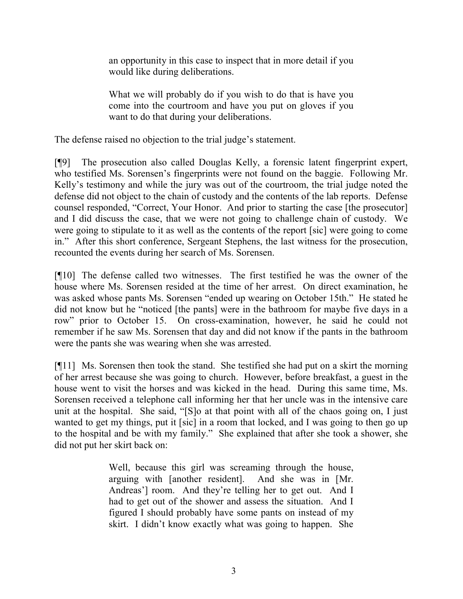an opportunity in this case to inspect that in more detail if you would like during deliberations.

What we will probably do if you wish to do that is have you come into the courtroom and have you put on gloves if you want to do that during your deliberations.

The defense raised no objection to the trial judge's statement.

[¶9] The prosecution also called Douglas Kelly, a forensic latent fingerprint expert, who testified Ms. Sorensen's fingerprints were not found on the baggie. Following Mr. Kelly's testimony and while the jury was out of the courtroom, the trial judge noted the defense did not object to the chain of custody and the contents of the lab reports. Defense counsel responded, "Correct, Your Honor. And prior to starting the case [the prosecutor] and I did discuss the case, that we were not going to challenge chain of custody. We were going to stipulate to it as well as the contents of the report [sic] were going to come in." After this short conference, Sergeant Stephens, the last witness for the prosecution, recounted the events during her search of Ms. Sorensen.

[¶10] The defense called two witnesses. The first testified he was the owner of the house where Ms. Sorensen resided at the time of her arrest. On direct examination, he was asked whose pants Ms. Sorensen "ended up wearing on October 15th." He stated he did not know but he "noticed [the pants] were in the bathroom for maybe five days in a row" prior to October 15. On cross-examination, however, he said he could not remember if he saw Ms. Sorensen that day and did not know if the pants in the bathroom were the pants she was wearing when she was arrested.

[¶11] Ms. Sorensen then took the stand. She testified she had put on a skirt the morning of her arrest because she was going to church. However, before breakfast, a guest in the house went to visit the horses and was kicked in the head. During this same time, Ms. Sorensen received a telephone call informing her that her uncle was in the intensive care unit at the hospital. She said, "[S]o at that point with all of the chaos going on, I just wanted to get my things, put it [sic] in a room that locked, and I was going to then go up to the hospital and be with my family." She explained that after she took a shower, she did not put her skirt back on:

> Well, because this girl was screaming through the house, arguing with [another resident]. And she was in [Mr. Andreas'] room. And they're telling her to get out. And I had to get out of the shower and assess the situation. And I figured I should probably have some pants on instead of my skirt. I didn't know exactly what was going to happen. She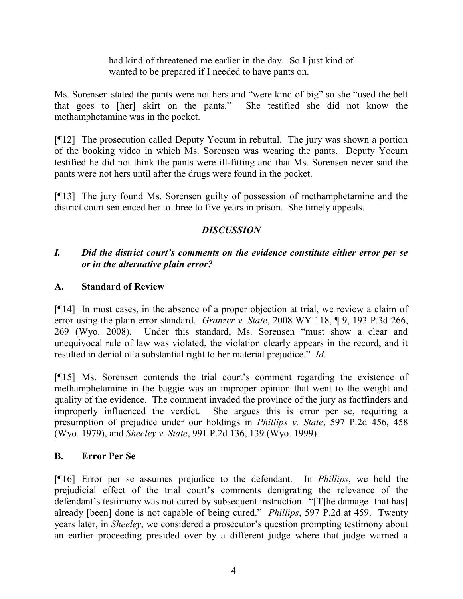had kind of threatened me earlier in the day. So I just kind of wanted to be prepared if I needed to have pants on.

Ms. Sorensen stated the pants were not hers and "were kind of big" so she "used the belt that goes to [her] skirt on the pants." She testified she did not know the methamphetamine was in the pocket.

[¶12] The prosecution called Deputy Yocum in rebuttal. The jury was shown a portion of the booking video in which Ms. Sorensen was wearing the pants. Deputy Yocum testified he did not think the pants were ill-fitting and that Ms. Sorensen never said the pants were not hers until after the drugs were found in the pocket.

[¶13] The jury found Ms. Sorensen guilty of possession of methamphetamine and the district court sentenced her to three to five years in prison. She timely appeals.

# DISCUSSION

# I. Did the district court's comments on the evidence constitute either error per se or in the alternative plain error?

# A. Standard of Review

[¶14] In most cases, in the absence of a proper objection at trial, we review a claim of error using the plain error standard. Granzer v. State, 2008 WY 118, ¶ 9, 193 P.3d 266, 269 (Wyo. 2008). Under this standard, Ms. Sorensen "must show a clear and unequivocal rule of law was violated, the violation clearly appears in the record, and it resulted in denial of a substantial right to her material prejudice." Id.

[¶15] Ms. Sorensen contends the trial court's comment regarding the existence of methamphetamine in the baggie was an improper opinion that went to the weight and quality of the evidence. The comment invaded the province of the jury as factfinders and improperly influenced the verdict. She argues this is error per se, requiring a presumption of prejudice under our holdings in Phillips v. State, 597 P.2d 456, 458 (Wyo. 1979), and Sheeley v. State, 991 P.2d 136, 139 (Wyo. 1999).

## B. Error Per Se

[¶16] Error per se assumes prejudice to the defendant. In Phillips, we held the prejudicial effect of the trial court's comments denigrating the relevance of the defendant's testimony was not cured by subsequent instruction. "[T]he damage [that has] already [been] done is not capable of being cured." Phillips, 597 P.2d at 459. Twenty years later, in Sheeley, we considered a prosecutor's question prompting testimony about an earlier proceeding presided over by a different judge where that judge warned a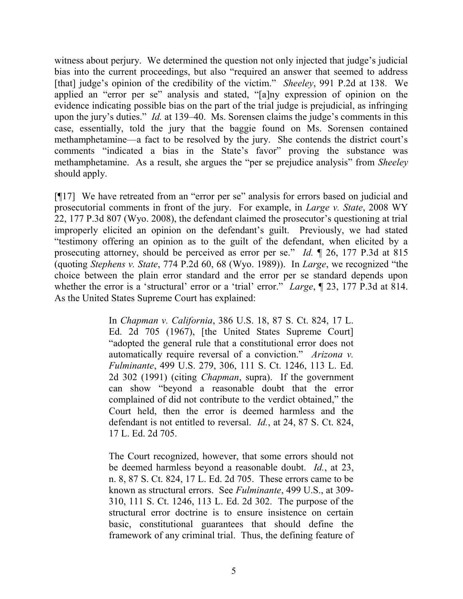witness about perjury. We determined the question not only injected that judge's judicial bias into the current proceedings, but also "required an answer that seemed to address [that] judge's opinion of the credibility of the victim." Sheeley, 991 P.2d at 138. We applied an "error per se" analysis and stated, "[a]ny expression of opinion on the evidence indicating possible bias on the part of the trial judge is prejudicial, as infringing upon the jury's duties." Id. at 139–40. Ms. Sorensen claims the judge's comments in this case, essentially, told the jury that the baggie found on Ms. Sorensen contained methamphetamine—a fact to be resolved by the jury. She contends the district court's comments "indicated a bias in the State's favor" proving the substance was methamphetamine. As a result, she argues the "per se prejudice analysis" from Sheeley should apply.

[¶17] We have retreated from an "error per se" analysis for errors based on judicial and prosecutorial comments in front of the jury. For example, in Large v. State, 2008 WY 22, 177 P.3d 807 (Wyo. 2008), the defendant claimed the prosecutor's questioning at trial improperly elicited an opinion on the defendant's guilt. Previously, we had stated "testimony offering an opinion as to the guilt of the defendant, when elicited by a prosecuting attorney, should be perceived as error per se." Id. ¶ 26, 177 P.3d at 815 (quoting Stephens v. State, 774 P.2d 60, 68 (Wyo. 1989)). In Large, we recognized "the choice between the plain error standard and the error per se standard depends upon whether the error is a 'structural' error or a 'trial' error." *Large*,  $\parallel$  23, 177 P.3d at 814. As the United States Supreme Court has explained:

> In Chapman v. California, 386 U.S. 18, 87 S. Ct. 824, 17 L. Ed. 2d 705 (1967), [the United States Supreme Court] "adopted the general rule that a constitutional error does not automatically require reversal of a conviction." Arizona v. Fulminante, 499 U.S. 279, 306, 111 S. Ct. 1246, 113 L. Ed. 2d 302 (1991) (citing Chapman, supra). If the government can show "beyond a reasonable doubt that the error complained of did not contribute to the verdict obtained," the Court held, then the error is deemed harmless and the defendant is not entitled to reversal. Id., at 24, 87 S. Ct. 824, 17 L. Ed. 2d 705.

> The Court recognized, however, that some errors should not be deemed harmless beyond a reasonable doubt. Id., at 23, n. 8, 87 S. Ct. 824, 17 L. Ed. 2d 705. These errors came to be known as structural errors. See Fulminante, 499 U.S., at 309- 310, 111 S. Ct. 1246, 113 L. Ed. 2d 302. The purpose of the structural error doctrine is to ensure insistence on certain basic, constitutional guarantees that should define the framework of any criminal trial. Thus, the defining feature of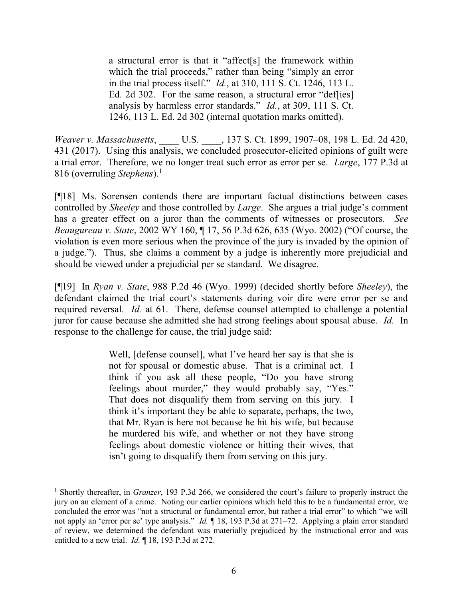a structural error is that it "affect[s] the framework within which the trial proceeds," rather than being "simply an error in the trial process itself." Id., at 310, 111 S. Ct. 1246, 113 L. Ed. 2d 302. For the same reason, a structural error "def[ies] analysis by harmless error standards." Id., at 309, 111 S. Ct. 1246, 113 L. Ed. 2d 302 (internal quotation marks omitted).

Weaver v. Massachusetts, U.S. , 137 S. Ct. 1899, 1907–08, 198 L. Ed. 2d 420, 431 (2017). Using this analysis, we concluded prosecutor-elicited opinions of guilt were a trial error. Therefore, we no longer treat such error as error per se. Large, 177 P.3d at 816 (overruling Stephens).<sup>1</sup>

[¶18] Ms. Sorensen contends there are important factual distinctions between cases controlled by Sheeley and those controlled by Large. She argues a trial judge's comment has a greater effect on a juror than the comments of witnesses or prosecutors. See Beaugureau v. State, 2002 WY 160, ¶ 17, 56 P.3d 626, 635 (Wyo. 2002) ("Of course, the violation is even more serious when the province of the jury is invaded by the opinion of a judge."). Thus, she claims a comment by a judge is inherently more prejudicial and should be viewed under a prejudicial per se standard. We disagree.

[¶19] In Ryan v. State, 988 P.2d 46 (Wyo. 1999) (decided shortly before Sheeley), the defendant claimed the trial court's statements during voir dire were error per se and required reversal. Id. at 61. There, defense counsel attempted to challenge a potential juror for cause because she admitted she had strong feelings about spousal abuse. Id. In response to the challenge for cause, the trial judge said:

> Well, [defense counsel], what I've heard her say is that she is not for spousal or domestic abuse. That is a criminal act. I think if you ask all these people, "Do you have strong feelings about murder," they would probably say, "Yes." That does not disqualify them from serving on this jury. I think it's important they be able to separate, perhaps, the two, that Mr. Ryan is here not because he hit his wife, but because he murdered his wife, and whether or not they have strong feelings about domestic violence or hitting their wives, that isn't going to disqualify them from serving on this jury.

 $\overline{a}$ <sup>1</sup> Shortly thereafter, in *Granzer*, 193 P.3d 266, we considered the court's failure to properly instruct the jury on an element of a crime. Noting our earlier opinions which held this to be a fundamental error, we concluded the error was "not a structural or fundamental error, but rather a trial error" to which "we will not apply an 'error per se' type analysis." Id. ¶ 18, 193 P.3d at 271–72. Applying a plain error standard of review, we determined the defendant was materially prejudiced by the instructional error and was entitled to a new trial. *Id.* 18, 193 P.3d at 272.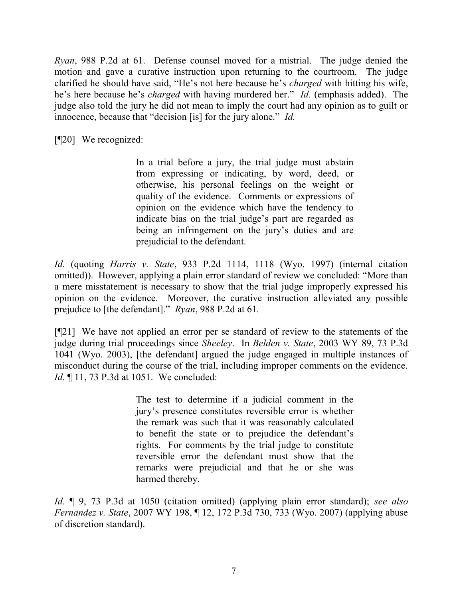Ryan, 988 P.2d at 61. Defense counsel moved for a mistrial. The judge denied the motion and gave a curative instruction upon returning to the courtroom. The judge clarified he should have said, "He's not here because he's charged with hitting his wife, he's here because he's *charged* with having murdered her." *Id.* (emphasis added). The judge also told the jury he did not mean to imply the court had any opinion as to guilt or innocence, because that "decision [is] for the jury alone." *Id.* 

[¶20] We recognized:

In a trial before a jury, the trial judge must abstain from expressing or indicating, by word, deed, or otherwise, his personal feelings on the weight or quality of the evidence. Comments or expressions of opinion on the evidence which have the tendency to indicate bias on the trial judge's part are regarded as being an infringement on the jury's duties and are prejudicial to the defendant.

Id. (quoting Harris v. State, 933 P.2d 1114, 1118 (Wyo. 1997) (internal citation omitted)). However, applying a plain error standard of review we concluded: "More than a mere misstatement is necessary to show that the trial judge improperly expressed his opinion on the evidence. Moreover, the curative instruction alleviated any possible prejudice to [the defendant]." Ryan, 988 P.2d at 61.

[¶21] We have not applied an error per se standard of review to the statements of the judge during trial proceedings since Sheeley. In Belden v. State, 2003 WY 89, 73 P.3d 1041 (Wyo. 2003), [the defendant] argued the judge engaged in multiple instances of misconduct during the course of the trial, including improper comments on the evidence. Id. ¶ 11, 73 P.3d at 1051. We concluded:

> The test to determine if a judicial comment in the jury's presence constitutes reversible error is whether the remark was such that it was reasonably calculated to benefit the state or to prejudice the defendant's rights. For comments by the trial judge to constitute reversible error the defendant must show that the remarks were prejudicial and that he or she was harmed thereby.

Id. ¶ 9, 73 P.3d at 1050 (citation omitted) (applying plain error standard); see also Fernandez v. State, 2007 WY 198, ¶ 12, 172 P.3d 730, 733 (Wyo. 2007) (applying abuse of discretion standard).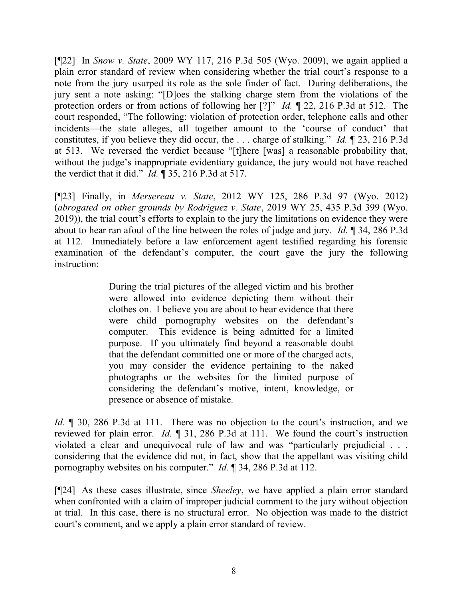[¶22] In Snow v. State, 2009 WY 117, 216 P.3d 505 (Wyo. 2009), we again applied a plain error standard of review when considering whether the trial court's response to a note from the jury usurped its role as the sole finder of fact. During deliberations, the jury sent a note asking: "[D]oes the stalking charge stem from the violations of the protection orders or from actions of following her [?]" Id. ¶ 22, 216 P.3d at 512. The court responded, "The following: violation of protection order, telephone calls and other incidents—the state alleges, all together amount to the 'course of conduct' that constitutes, if you believe they did occur, the ... charge of stalking." Id.  $\parallel$  23, 216 P.3d at 513. We reversed the verdict because "[t]here [was] a reasonable probability that, without the judge's inappropriate evidentiary guidance, the jury would not have reached the verdict that it did."  $Id. \P$  35, 216 P.3d at 517.

[¶23] Finally, in Mersereau v. State, 2012 WY 125, 286 P.3d 97 (Wyo. 2012) (abrogated on other grounds by Rodriguez v. State, 2019 WY 25, 435 P.3d 399 (Wyo. 2019)), the trial court's efforts to explain to the jury the limitations on evidence they were about to hear ran afoul of the line between the roles of judge and jury. Id. ¶ 34, 286 P.3d at 112. Immediately before a law enforcement agent testified regarding his forensic examination of the defendant's computer, the court gave the jury the following instruction:

> During the trial pictures of the alleged victim and his brother were allowed into evidence depicting them without their clothes on. I believe you are about to hear evidence that there were child pornography websites on the defendant's computer. This evidence is being admitted for a limited purpose. If you ultimately find beyond a reasonable doubt that the defendant committed one or more of the charged acts, you may consider the evidence pertaining to the naked photographs or the websites for the limited purpose of considering the defendant's motive, intent, knowledge, or presence or absence of mistake.

Id. 1 30, 286 P.3d at 111. There was no objection to the court's instruction, and we reviewed for plain error. *Id.*  $\parallel$  31, 286 P.3d at 111. We found the court's instruction violated a clear and unequivocal rule of law and was "particularly prejudicial . . . considering that the evidence did not, in fact, show that the appellant was visiting child pornography websites on his computer." Id. ¶ 34, 286 P.3d at 112.

[¶24] As these cases illustrate, since Sheeley, we have applied a plain error standard when confronted with a claim of improper judicial comment to the jury without objection at trial. In this case, there is no structural error. No objection was made to the district court's comment, and we apply a plain error standard of review.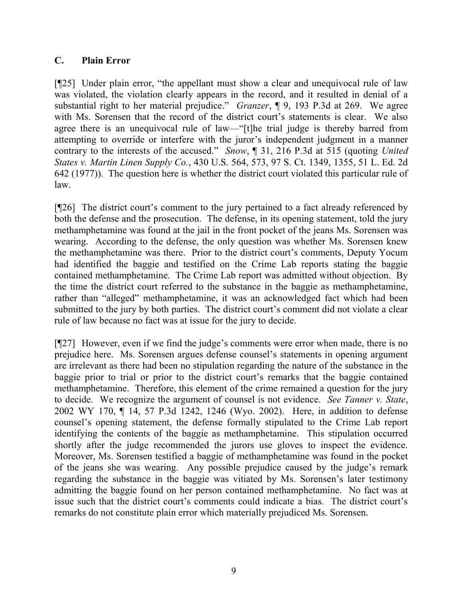## C. Plain Error

[¶25] Under plain error, "the appellant must show a clear and unequivocal rule of law was violated, the violation clearly appears in the record, and it resulted in denial of a substantial right to her material prejudice." Granzer, ¶ 9, 193 P.3d at 269. We agree with Ms. Sorensen that the record of the district court's statements is clear. We also agree there is an unequivocal rule of law—"[t]he trial judge is thereby barred from attempting to override or interfere with the juror's independent judgment in a manner contrary to the interests of the accused." Snow, ¶ 31, 216 P.3d at 515 (quoting United States v. Martin Linen Supply Co., 430 U.S. 564, 573, 97 S. Ct. 1349, 1355, 51 L. Ed. 2d 642 (1977)). The question here is whether the district court violated this particular rule of law.

[¶26] The district court's comment to the jury pertained to a fact already referenced by both the defense and the prosecution. The defense, in its opening statement, told the jury methamphetamine was found at the jail in the front pocket of the jeans Ms. Sorensen was wearing. According to the defense, the only question was whether Ms. Sorensen knew the methamphetamine was there. Prior to the district court's comments, Deputy Yocum had identified the baggie and testified on the Crime Lab reports stating the baggie contained methamphetamine. The Crime Lab report was admitted without objection. By the time the district court referred to the substance in the baggie as methamphetamine, rather than "alleged" methamphetamine, it was an acknowledged fact which had been submitted to the jury by both parties. The district court's comment did not violate a clear rule of law because no fact was at issue for the jury to decide.

[¶27] However, even if we find the judge's comments were error when made, there is no prejudice here. Ms. Sorensen argues defense counsel's statements in opening argument are irrelevant as there had been no stipulation regarding the nature of the substance in the baggie prior to trial or prior to the district court's remarks that the baggie contained methamphetamine. Therefore, this element of the crime remained a question for the jury to decide. We recognize the argument of counsel is not evidence. See Tanner v. State, 2002 WY 170, ¶ 14, 57 P.3d 1242, 1246 (Wyo. 2002). Here, in addition to defense counsel's opening statement, the defense formally stipulated to the Crime Lab report identifying the contents of the baggie as methamphetamine. This stipulation occurred shortly after the judge recommended the jurors use gloves to inspect the evidence. Moreover, Ms. Sorensen testified a baggie of methamphetamine was found in the pocket of the jeans she was wearing. Any possible prejudice caused by the judge's remark regarding the substance in the baggie was vitiated by Ms. Sorensen's later testimony admitting the baggie found on her person contained methamphetamine. No fact was at issue such that the district court's comments could indicate a bias. The district court's remarks do not constitute plain error which materially prejudiced Ms. Sorensen.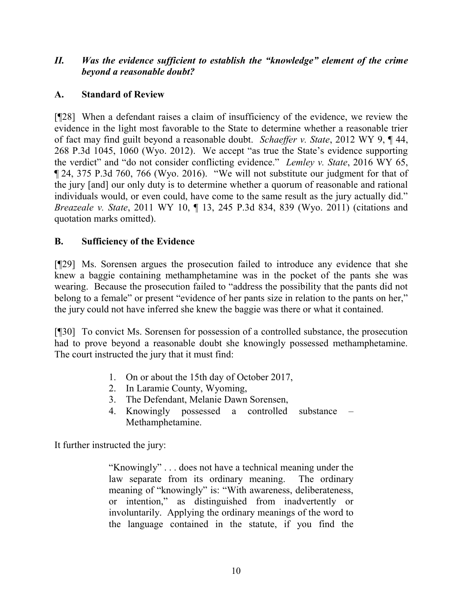## II. Was the evidence sufficient to establish the "knowledge" element of the crime beyond a reasonable doubt?

# A. Standard of Review

[¶28] When a defendant raises a claim of insufficiency of the evidence, we review the evidence in the light most favorable to the State to determine whether a reasonable trier of fact may find guilt beyond a reasonable doubt. Schaeffer v. State, 2012 WY 9, ¶ 44, 268 P.3d 1045, 1060 (Wyo. 2012). We accept "as true the State's evidence supporting the verdict" and "do not consider conflicting evidence." Lemley v. State, 2016 WY 65, ¶ 24, 375 P.3d 760, 766 (Wyo. 2016). "We will not substitute our judgment for that of the jury [and] our only duty is to determine whether a quorum of reasonable and rational individuals would, or even could, have come to the same result as the jury actually did." Breazeale v. State, 2011 WY 10, ¶ 13, 245 P.3d 834, 839 (Wyo. 2011) (citations and quotation marks omitted).

# B. Sufficiency of the Evidence

[¶29] Ms. Sorensen argues the prosecution failed to introduce any evidence that she knew a baggie containing methamphetamine was in the pocket of the pants she was wearing. Because the prosecution failed to "address the possibility that the pants did not belong to a female" or present "evidence of her pants size in relation to the pants on her," the jury could not have inferred she knew the baggie was there or what it contained.

[¶30] To convict Ms. Sorensen for possession of a controlled substance, the prosecution had to prove beyond a reasonable doubt she knowingly possessed methamphetamine. The court instructed the jury that it must find:

- 1. On or about the 15th day of October 2017,
- 2. In Laramie County, Wyoming,
- 3. The Defendant, Melanie Dawn Sorensen,
- 4. Knowingly possessed a controlled substance Methamphetamine.

It further instructed the jury:

"Knowingly" . . . does not have a technical meaning under the law separate from its ordinary meaning. The ordinary meaning of "knowingly" is: "With awareness, deliberateness, or intention," as distinguished from inadvertently or involuntarily. Applying the ordinary meanings of the word to the language contained in the statute, if you find the